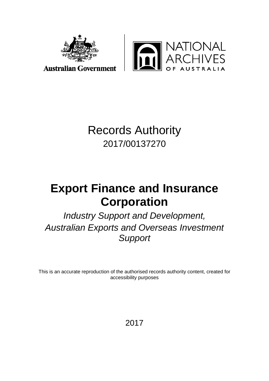

**ATIONAL<br>CHIVES** USTRALIA

## **Australian Government**

# Records Authority 2017/00137270

# **Export Finance and Insurance Corporation**

*Industry Support and Development, Australian Exports and Overseas Investment Support*

This is an accurate reproduction of the authorised records authority content, created for accessibility purposes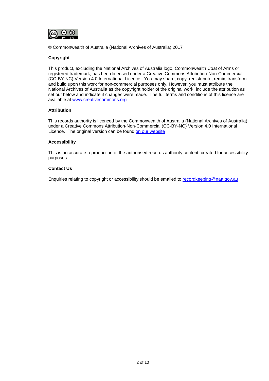

© Commonwealth of Australia (National Archives of Australia) 2017

#### **Copyright**

This product, excluding the National Archives of Australia logo, Commonwealth Coat of Arms or registered trademark, has been licensed under a Creative Commons Attribution-Non-Commercial (CC-BY-NC) Version 4.0 International Licence. You may share, copy, redistribute, remix, transform and build upon this work for non-commercial purposes only. However, you must attribute the National Archives of Australia as the copyright holder of the original work, include the attribution as set out below and indicate if changes were made. The full terms and conditions of this licence are available at [www.creativecommons.org](http://www.creativecommons.org/)

#### **Attribution**

This records authority is licenced by the Commonwealth of Australia (National Archives of Australia) under a Creative Commons Attribution-Non-Commercial (CC-BY-NC) Version 4.0 International Licence. The original version can be found [on our website](http://www.naa.gov.au/)

#### **Accessibility**

This is an accurate reproduction of the authorised records authority content, created for accessibility purposes.

#### **Contact Us**

Enquiries relating to copyright or accessibility should be emailed to [recordkeeping@naa.gov.au](mailto:recordkeeping@naa.gov.au)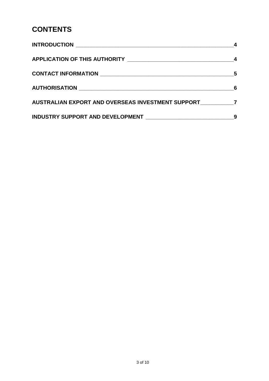## **CONTENTS**

|                                                     | -6 |
|-----------------------------------------------------|----|
| AUSTRALIAN EXPORT AND OVERSEAS INVESTMENT SUPPORT 7 |    |
|                                                     | 9  |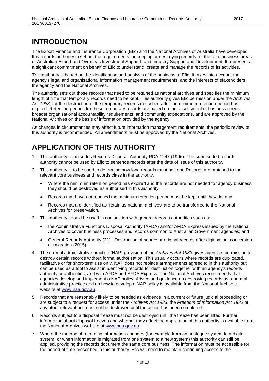## <span id="page-3-0"></span>**INTRODUCTION**

The Export Finance and Insurance Corporation (Efic) and the National Archives of Australia have developed this records authority to set out the requirements for keeping or destroying records for the core business areas of Australian Export and Overseas Investment Support, and Industry Support and Development. It represents a significant commitment on behalf of Efic to understand, create and manage the records of its activities.

This authority is based on the identification and analysis of the business of Efic. It takes into account the agency's legal and organisational information management requirements, and the interests of stakeholders, the agency and the National Archives.

The authority sets out those records that need to be retained as national archives and specifies the minimum length of time that temporary records need to be kept. This authority gives Efic permission under the *Archives Act 1983*, for the destruction of the temporary records described after the minimum retention period has expired. Retention periods for these temporary records are based on: an assessment of business needs; broader organisational accountability requirements; and community expectations, and are approved by the National Archives on the basis of information provided by the agency.

As changes in circumstances may affect future information management requirements, the periodic review of this authority is recommended. All amendments must be approved by the National Archives.

## <span id="page-3-1"></span>**APPLICATION OF THIS AUTHORITY**

- 1. This authority supersedes Records Disposal Authority RDA 1247 (1996). The superseded records authority cannot be used by Efic to sentence records after the date of issue of this authority.
- 2. This authority is to be used to determine how long records must be kept. Records are matched to the relevant core business and records class in the authority.
	- Where the minimum retention period has expired and the records are not needed for agency business they should be destroyed as authorised in this authority;
	- Records that have not reached the minimum retention period must be kept until they do; and
	- Records that are identified as 'retain as national archives' are to be transferred to the National Archives for preservation.
- 3. This authority should be used in conjunction with general records authorities such as:
	- the Administrative Functions Disposal Authority (AFDA) and/or AFDA Express issued by the National Archives to cover business processes and records common to Australian Government agencies; and
	- General Records Authority (31) Destruction of source or original records after digitisation, conversion or migration (2015).
- 4. The normal administrative practice (NAP) provision of the *Archives Act 1983* gives agencies permission to destroy certain records without formal authorisation. This usually occurs where records are duplicated, facilitative or for short-term use only. NAP does not replace arrangements agreed to in this authority but can be used as a tool to assist in identifying records for destruction together with an agency's records authority or authorities, and with AFDA and AFDA Express. The National Archives recommends that agencies develop and implement a NAP policy. Advice and guidance on destroying records as a normal administrative practice and on how to develop a NAP policy is available from the National Archives' website at [www.naa.gov.au.](http://www.naa.gov.au/)
- 5. Records that are reasonably likely to be needed as evidence in a current or future judicial proceeding or are subject to a request for access under the *Archives Act 1983*, the *Freedom of Information Act 1982* or any other relevant act must not be destroyed until the action has been completed.
- 6. Records subject to a disposal freeze must not be destroyed until the freeze has been lifted. Further information about disposal freezes and whether they affect the application of this authority is available from the National Archives website at [www.naa.gov.au.](http://www.naa.gov.au/)
- 7. Where the method of recording information changes (for example from an analogue system to a digital system, or when information is migrated from one system to a new system) this authority can still be applied, providing the records document the same core business. The information must be accessible for the period of time prescribed in this authority. Efic will need to maintain continuing access to the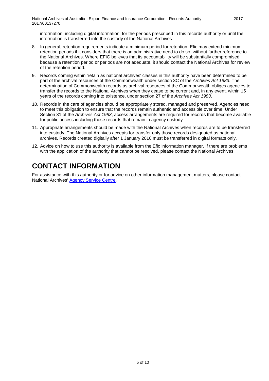information, including digital information, for the periods prescribed in this records authority or until the information is transferred into the custody of the National Archives.

- 8. In general, retention requirements indicate a minimum period for retention. Efic may extend minimum retention periods if it considers that there is an administrative need to do so, without further reference to the National Archives. Where EFIC believes that its accountability will be substantially compromised because a retention period or periods are not adequate, it should contact the National Archives for review of the retention period.
- 9. Records coming within 'retain as national archives' classes in this authority have been determined to be part of the archival resources of the Commonwealth under section 3C of the *Archives Act 1983*. The determination of Commonwealth records as archival resources of the Commonwealth obliges agencies to transfer the records to the National Archives when they cease to be current and, in any event, within 15 years of the records coming into existence, under section 27 of the *Archives Act 1983*.
- 10. Records in the care of agencies should be appropriately stored, managed and preserved. Agencies need to meet this obligation to ensure that the records remain authentic and accessible over time. Under Section 31 of the *Archives Act 1983*, access arrangements are required for records that become available for public access including those records that remain in agency custody.
- 11. Appropriate arrangements should be made with the National Archives when records are to be transferred into custody. The National Archives accepts for transfer only those records designated as national archives. Records created digitally after 1 January 2016 must be transferred in digital formats only.
- 12. Advice on how to use this authority is available from the Efic information manager. If there are problems with the application of the authority that cannot be resolved, please contact the National Archives.

## <span id="page-4-0"></span>**CONTACT INFORMATION**

For assistance with this authority or for advice on other information management matters, please contact National Archives' [Agency Service Centre.](http://reftracker.naa.gov.au/reft000.aspx?pmi=jpGkKEm4vT)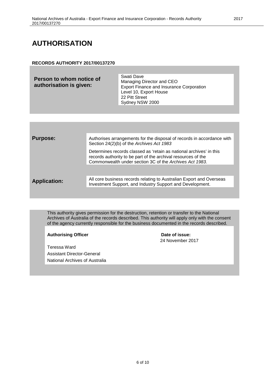## <span id="page-5-0"></span>**AUTHORISATION**

#### **RECORDS AUTHORITY 2017/00137270**

| Person to whom notice of<br>authorisation is given: | Swati Dave<br>Managing Director and CEO<br><b>Export Finance and Insurance Corporation</b><br>Level 10, Export House<br>22 Pitt Street<br>Sydney NSW 2000 |
|-----------------------------------------------------|-----------------------------------------------------------------------------------------------------------------------------------------------------------|
|                                                     |                                                                                                                                                           |

| <b>Purpose:</b>     | Authorises arrangements for the disposal of records in accordance with<br>Section 24(2)(b) of the Archives Act 1983                                                                             |
|---------------------|-------------------------------------------------------------------------------------------------------------------------------------------------------------------------------------------------|
|                     | Determines records classed as 'retain as national archives' in this<br>records authority to be part of the archival resources of the<br>Commonwealth under section 3C of the Archives Act 1983. |
|                     |                                                                                                                                                                                                 |
| <b>Application:</b> | All core business records relating to Australian Export and Overseas<br>Investment Support, and Industry Support and Development.                                                               |
|                     |                                                                                                                                                                                                 |

This authority gives permission for the destruction, retention or transfer to the National Archives of Australia of the records described. This authority will apply only with the consent of the agency currently responsible for the business documented in the records described.

Authorising Officer **Contact Studies 20 and 20 and 20 and 20 and 20 and 20 and 20 and 20 and 20 and 20 and 20 and 20 and 20 and 20 and 20 and 20 and 20 and 20 and 20 and 20 and 20 and 20 and 20 and 20 and 20 and 20 and 20** 

Teressa Ward Assistant Director-General National Archives of Australia 24 November 2017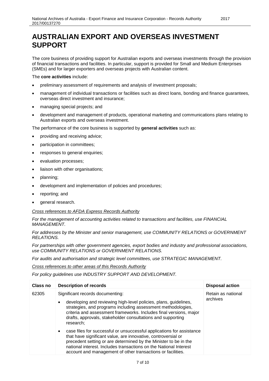### <span id="page-6-0"></span>**AUSTRALIAN EXPORT AND OVERSEAS INVESTMENT SUPPORT**

The core business of providing support for Australian exports and overseas investments through the provision of financial transactions and facilities. In particular, support is provided for Small and Medium Enterprises (SMEs) and for larger exporters and overseas projects with Australian content.

The **core activities** include:

- preliminary assessment of requirements and analysis of investment proposals;
- management of individual transactions or facilities such as direct loans, bonding and finance guarantees, overseas direct investment and insurance;
- managing special projects; and
- development and management of products, operational marketing and communications plans relating to Australian exports and overseas investment.

The performance of the core business is supported by **general activities** such as:

- providing and receiving advice;
- participation in committees;
- responses to general enquiries;
- evaluation processes;
- liaison with other organisations;
- planning;
- development and implementation of policies and procedures;
- reporting; and
- general research.

#### *Cross references to AFDA Express Records Authority*

*For the management of accounting activities related to transactions and facilities, use FINANCIAL MANAGEMENT.*

*For addresses by the Minister and senior management, use COMMUNITY RELATIONS or GOVERNMENT RELATIONS.*

*For partnerships with other government agencies, export bodies and industry and professional associations, use COMMUNITY RELATIONS or GOVERNMENT RELATIONS.*

*For audits and authorisation and strategic level committees, use STRATEGIC MANAGEMENT.*

*Cross references to other areas of this Records Authority*

*For policy guidelines use INDUSTRY SUPPORT AND DEVELOPMENT.*

| Class no | <b>Description of records</b>                                                                                                                                                                                                                                                                                                                               | <b>Disposal action</b>         |
|----------|-------------------------------------------------------------------------------------------------------------------------------------------------------------------------------------------------------------------------------------------------------------------------------------------------------------------------------------------------------------|--------------------------------|
| 62305    | Significant records documenting:<br>developing and reviewing high-level policies, plans, guidelines,<br>$\bullet$<br>strategies, and programs including assessment methodologies,<br>criteria and assessment frameworks. Includes final versions, major<br>drafts, approvals, stakeholder consultations and supporting<br>research;                         | Retain as national<br>archives |
|          | case files for successful or unsuccessful applications for assistance<br>$\bullet$<br>that have significant value, are innovative, controversial or<br>precedent setting or are determined by the Minister to be in the<br>national interest. Includes transactions on the National Interest<br>account and management of other transactions or facilities. |                                |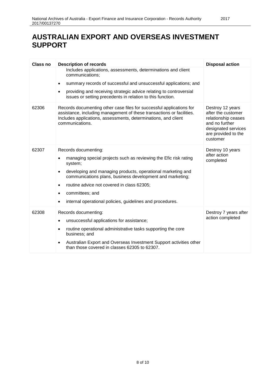## **AUSTRALIAN EXPORT AND OVERSEAS INVESTMENT SUPPORT**

| <b>Class no</b> | <b>Description of records</b>                                                                                                                                                                                                                                                                                                                                              | <b>Disposal action</b>                                                                                                                    |
|-----------------|----------------------------------------------------------------------------------------------------------------------------------------------------------------------------------------------------------------------------------------------------------------------------------------------------------------------------------------------------------------------------|-------------------------------------------------------------------------------------------------------------------------------------------|
|                 | Includes applications, assessments, determinations and client<br>communications:<br>summary records of successful and unsuccessful applications; and<br>providing and receiving strategic advice relating to controversial<br>issues or setting precedents in relation to this function.                                                                                   |                                                                                                                                           |
| 62306           | Records documenting other case files for successful applications for<br>assistance, including management of these transactions or facilities.<br>Includes applications, assessments, determinations, and client<br>communications.                                                                                                                                         | Destroy 12 years<br>after the customer<br>relationship ceases<br>and no further<br>designated services<br>are provided to the<br>customer |
| 62307           | Records documenting:<br>managing special projects such as reviewing the Efic risk rating<br>system;<br>developing and managing products, operational marketing and<br>$\bullet$<br>communications plans, business development and marketing;<br>routine advice not covered in class 62305;<br>committees; and<br>internal operational policies, guidelines and procedures. | Destroy 10 years<br>after action<br>completed                                                                                             |
| 62308           | Records documenting:<br>unsuccessful applications for assistance;<br>routine operational administrative tasks supporting the core<br>business; and<br>Australian Export and Overseas Investment Support activities other<br>than those covered in classes 62305 to 62307.                                                                                                  | Destroy 7 years after<br>action completed                                                                                                 |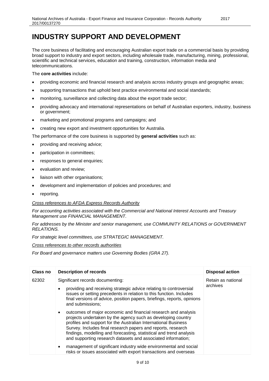## <span id="page-8-0"></span>**INDUSTRY SUPPORT AND DEVELOPMENT**

The core business of facilitating and encouraging Australian export trade on a commercial basis by providing broad support to industry and export sectors, including wholesale trade, manufacturing, mining, professional, scientific and technical services, education and training, construction, information media and telecommunications.

#### The **core activities** include:

- providing economic and financial research and analysis across industry groups and geographic areas;
- supporting transactions that uphold best practice environmental and social standards;
- monitoring, surveillance and collecting data about the export trade sector;
- providing advocacy and international representations on behalf of Australian exporters, industry, business or government;
- marketing and promotional programs and campaigns; and
- creating new export and investment opportunities for Australia.

The performance of the core business is supported by **general activities** such as:

- providing and receiving advice;
- participation in committees;
- responses to general enquiries;
- evaluation and review;
- liaison with other organisations;
- development and implementation of policies and procedures; and
- reporting.

#### *Cross references to AFDA Express Records Authority*

*For accounting activities associated with the Commercial and National Interest Accounts and Treasury Management use FINANCIAL MANAGEMENT.*

*For addresses by the Minister and senior management, use COMMUNITY RELATIONS or GOVERNMENT RELATIONS.*

*For strategic level committees, use STRATEGIC MANAGEMENT.*

*Cross references to other records authorities*

*For Board and governance matters use Governing Bodies (GRA 27).*

| Class no | <b>Description of records</b>                                                                                                                                                                                                                                                                                                                                                                                                                                                                                                                                | <b>Disposal action</b>         |
|----------|--------------------------------------------------------------------------------------------------------------------------------------------------------------------------------------------------------------------------------------------------------------------------------------------------------------------------------------------------------------------------------------------------------------------------------------------------------------------------------------------------------------------------------------------------------------|--------------------------------|
| 62302    | Significant records documenting:<br>providing and receiving strategic advice relating to controversial<br>issues or setting precedents in relation to this function. Includes<br>final versions of advice, position papers, briefings, reports, opinions<br>and submissions;                                                                                                                                                                                                                                                                                 | Retain as national<br>archives |
|          | outcomes of major economic and financial research and analysis<br>$\bullet$<br>projects undertaken by the agency such as developing country<br>profiles and support for the Australian International Business<br>Survey. Includes final research papers and reports, research<br>findings, modelling and forecasting, statistical and trend analysis<br>and supporting research datasets and associated information;<br>management of significant industry wide environmental and social<br>risks or issues associated with export transactions and overseas |                                |